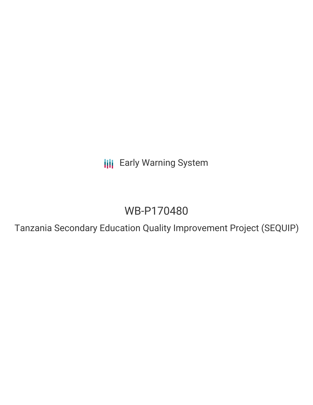**III** Early Warning System

# WB-P170480

Tanzania Secondary Education Quality Improvement Project (SEQUIP)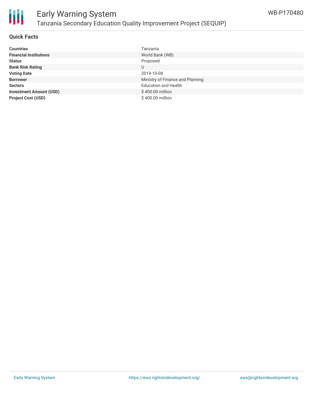

#### **Quick Facts**

| <b>Countries</b>               | Tanzania                         |
|--------------------------------|----------------------------------|
| <b>Financial Institutions</b>  | World Bank (WB)                  |
| <b>Status</b>                  | Proposed                         |
| <b>Bank Risk Rating</b>        | U                                |
| <b>Voting Date</b>             | 2019-10-08                       |
| <b>Borrower</b>                | Ministry of Finance and Planning |
| <b>Sectors</b>                 | <b>Education and Health</b>      |
| <b>Investment Amount (USD)</b> | \$400.00 million                 |
| <b>Project Cost (USD)</b>      | \$400.00 million                 |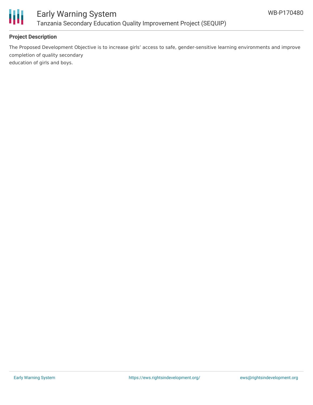

### Early Warning System Tanzania Secondary Education Quality Improvement Project (SEQUIP)

### **Project Description**

The Proposed Development Objective is to increase girls' access to safe, gender-sensitive learning environments and improve completion of quality secondary education of girls and boys.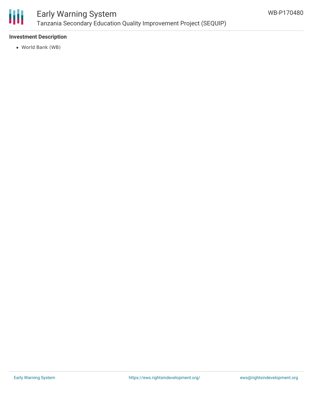

### Early Warning System Tanzania Secondary Education Quality Improvement Project (SEQUIP)

### **Investment Description**

World Bank (WB)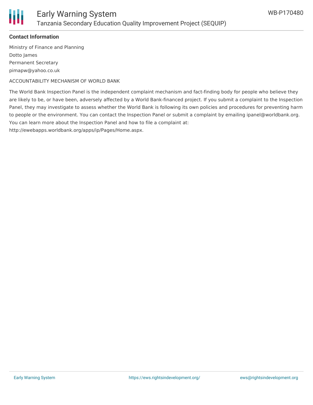

### **Contact Information**

Ministry of Finance and Planning Dotto James Permanent Secretary pimapw@yahoo.co.uk

ACCOUNTABILITY MECHANISM OF WORLD BANK

The World Bank Inspection Panel is the independent complaint mechanism and fact-finding body for people who believe they are likely to be, or have been, adversely affected by a World Bank-financed project. If you submit a complaint to the Inspection Panel, they may investigate to assess whether the World Bank is following its own policies and procedures for preventing harm to people or the environment. You can contact the Inspection Panel or submit a complaint by emailing ipanel@worldbank.org. You can learn more about the Inspection Panel and how to file a complaint at:

http://ewebapps.worldbank.org/apps/ip/Pages/Home.aspx.